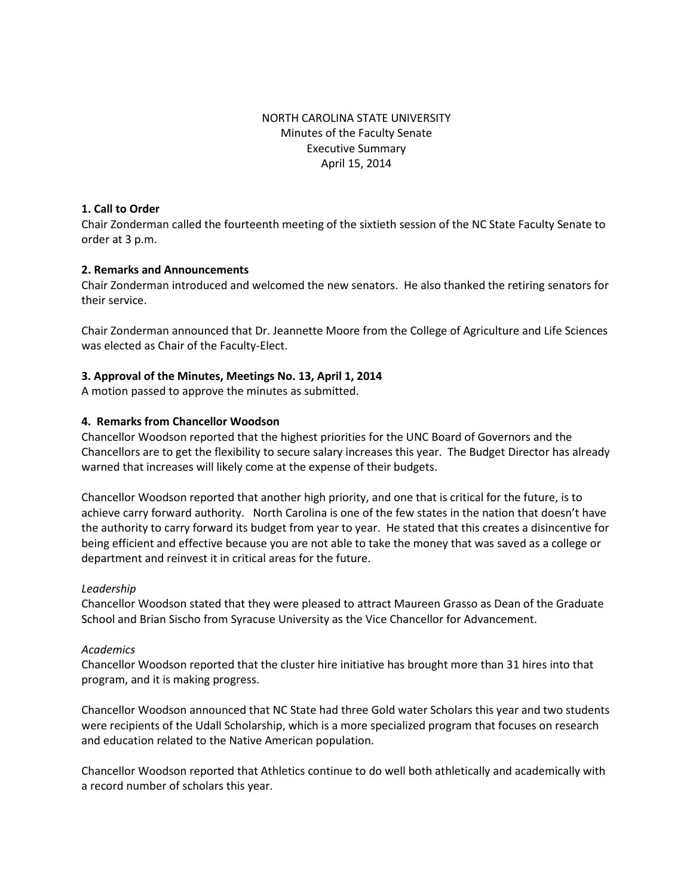# NORTH CAROLINA STATE UNIVERSITY Minutes of the Faculty Senate Executive Summary April 15, 2014

#### **1. Call to Order**

Chair Zonderman called the fourteenth meeting of the sixtieth session of the NC State Faculty Senate to order at 3 p.m.

## **2. Remarks and Announcements**

Chair Zonderman introduced and welcomed the new senators. He also thanked the retiring senators for their service.

Chair Zonderman announced that Dr. Jeannette Moore from the College of Agriculture and Life Sciences was elected as Chair of the Faculty-Elect.

## **3. Approval of the Minutes, Meetings No. 13, April 1, 2014**

A motion passed to approve the minutes as submitted.

#### **4. Remarks from Chancellor Woodson**

Chancellor Woodson reported that the highest priorities for the UNC Board of Governors and the Chancellors are to get the flexibility to secure salary increases this year. The Budget Director has already warned that increases will likely come at the expense of their budgets.

Chancellor Woodson reported that another high priority, and one that is critical for the future, is to achieve carry forward authority. North Carolina is one of the few states in the nation that doesn't have the authority to carry forward its budget from year to year. He stated that this creates a disincentive for being efficient and effective because you are not able to take the money that was saved as a college or department and reinvest it in critical areas for the future.

#### *Leadership*

Chancellor Woodson stated that they were pleased to attract Maureen Grasso as Dean of the Graduate School and Brian Sischo from Syracuse University as the Vice Chancellor for Advancement.

#### *Academics*

Chancellor Woodson reported that the cluster hire initiative has brought more than 31 hires into that program, and it is making progress.

Chancellor Woodson announced that NC State had three Gold water Scholars this year and two students were recipients of the Udall Scholarship, which is a more specialized program that focuses on research and education related to the Native American population.

Chancellor Woodson reported that Athletics continue to do well both athletically and academically with a record number of scholars this year.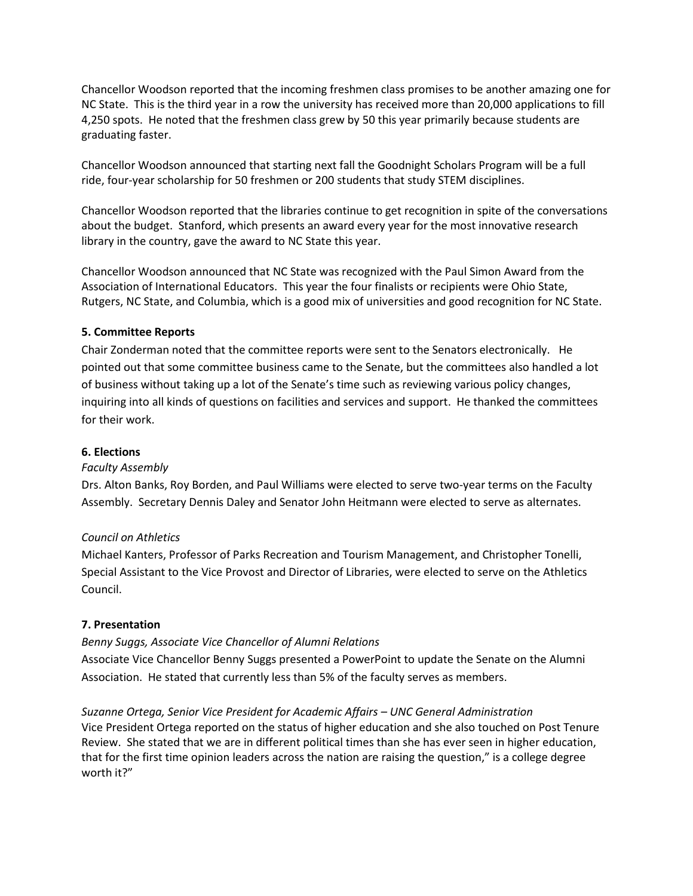Chancellor Woodson reported that the incoming freshmen class promises to be another amazing one for NC State. This is the third year in a row the university has received more than 20,000 applications to fill 4,250 spots. He noted that the freshmen class grew by 50 this year primarily because students are graduating faster.

Chancellor Woodson announced that starting next fall the Goodnight Scholars Program will be a full ride, four-year scholarship for 50 freshmen or 200 students that study STEM disciplines.

Chancellor Woodson reported that the libraries continue to get recognition in spite of the conversations about the budget. Stanford, which presents an award every year for the most innovative research library in the country, gave the award to NC State this year.

Chancellor Woodson announced that NC State was recognized with the Paul Simon Award from the Association of International Educators. This year the four finalists or recipients were Ohio State, Rutgers, NC State, and Columbia, which is a good mix of universities and good recognition for NC State.

# **5. Committee Reports**

Chair Zonderman noted that the committee reports were sent to the Senators electronically. He pointed out that some committee business came to the Senate, but the committees also handled a lot of business without taking up a lot of the Senate's time such as reviewing various policy changes, inquiring into all kinds of questions on facilities and services and support. He thanked the committees for their work.

## **6. Elections**

## *Faculty Assembly*

Drs. Alton Banks, Roy Borden, and Paul Williams were elected to serve two-year terms on the Faculty Assembly. Secretary Dennis Daley and Senator John Heitmann were elected to serve as alternates.

## *Council on Athletics*

Michael Kanters, Professor of Parks Recreation and Tourism Management, and Christopher Tonelli, Special Assistant to the Vice Provost and Director of Libraries, were elected to serve on the Athletics Council.

## **7. Presentation**

# *Benny Suggs, Associate Vice Chancellor of Alumni Relations*

Associate Vice Chancellor Benny Suggs presented a PowerPoint to update the Senate on the Alumni Association. He stated that currently less than 5% of the faculty serves as members.

*Suzanne Ortega, Senior Vice President for Academic Affairs – UNC General Administration* Vice President Ortega reported on the status of higher education and she also touched on Post Tenure Review. She stated that we are in different political times than she has ever seen in higher education, that for the first time opinion leaders across the nation are raising the question," is a college degree worth it?"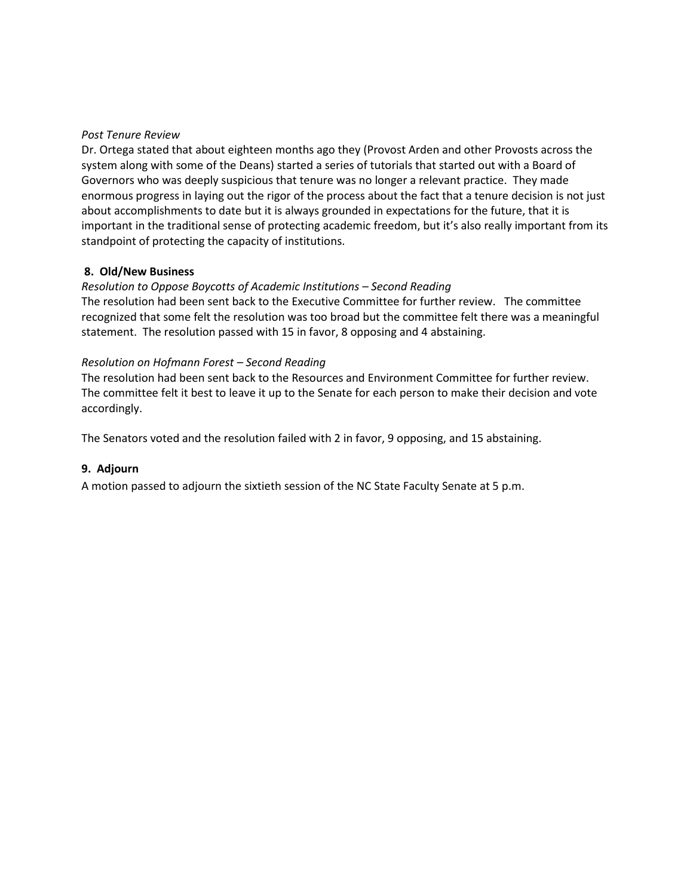#### *Post Tenure Review*

Dr. Ortega stated that about eighteen months ago they (Provost Arden and other Provosts across the system along with some of the Deans) started a series of tutorials that started out with a Board of Governors who was deeply suspicious that tenure was no longer a relevant practice. They made enormous progress in laying out the rigor of the process about the fact that a tenure decision is not just about accomplishments to date but it is always grounded in expectations for the future, that it is important in the traditional sense of protecting academic freedom, but it's also really important from its standpoint of protecting the capacity of institutions.

## **8. Old/New Business**

## *Resolution to Oppose Boycotts of Academic Institutions – Second Reading*

The resolution had been sent back to the Executive Committee for further review. The committee recognized that some felt the resolution was too broad but the committee felt there was a meaningful statement. The resolution passed with 15 in favor, 8 opposing and 4 abstaining.

#### *Resolution on Hofmann Forest – Second Reading*

The resolution had been sent back to the Resources and Environment Committee for further review. The committee felt it best to leave it up to the Senate for each person to make their decision and vote accordingly.

The Senators voted and the resolution failed with 2 in favor, 9 opposing, and 15 abstaining.

## **9. Adjourn**

A motion passed to adjourn the sixtieth session of the NC State Faculty Senate at 5 p.m.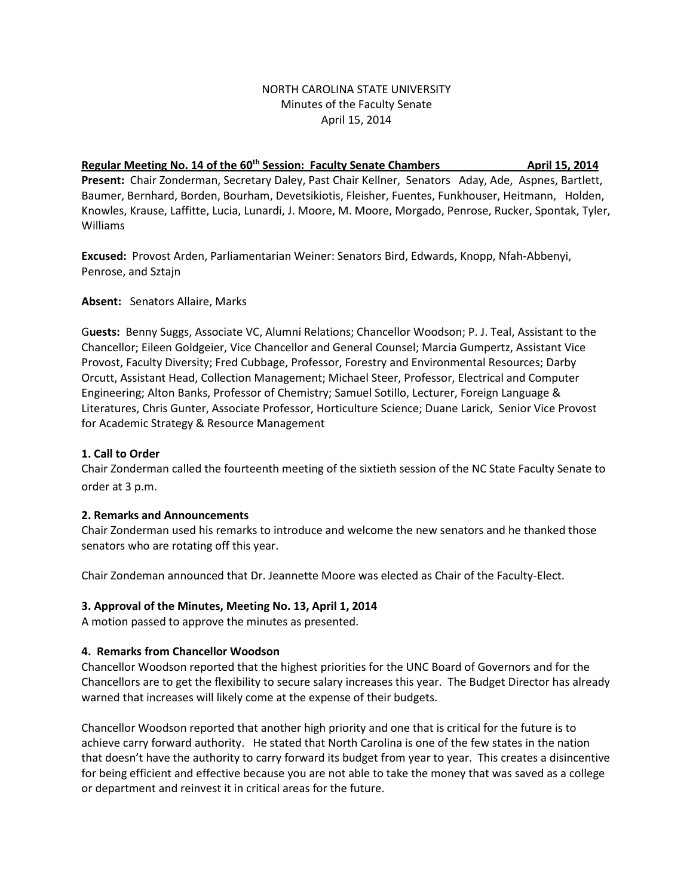## NORTH CAROLINA STATE UNIVERSITY Minutes of the Faculty Senate April 15, 2014

# **Regular Meeting No. 14 of the 60<sup>th</sup> Session: Faculty Senate Chambers April 15, 2014 April 15, 2014 Present:** Chair Zonderman, Secretary Daley, Past Chair Kellner, Senators Aday, Ade, Aspnes, Bartlett,

Baumer, Bernhard, Borden, Bourham, Devetsikiotis, Fleisher, Fuentes, Funkhouser, Heitmann, Holden, Knowles, Krause, Laffitte, Lucia, Lunardi, J. Moore, M. Moore, Morgado, Penrose, Rucker, Spontak, Tyler, Williams

**Excused:** Provost Arden, Parliamentarian Weiner: Senators Bird, Edwards, Knopp, Nfah-Abbenyi, Penrose, and Sztajn

**Absent:** Senators Allaire, Marks

G**uests:** Benny Suggs, Associate VC, Alumni Relations; Chancellor Woodson; P. J. Teal, Assistant to the Chancellor; Eileen Goldgeier, Vice Chancellor and General Counsel; Marcia Gumpertz, Assistant Vice Provost, Faculty Diversity; Fred Cubbage, Professor, Forestry and Environmental Resources; Darby Orcutt, Assistant Head, Collection Management; Michael Steer, Professor, Electrical and Computer Engineering; Alton Banks, Professor of Chemistry; Samuel Sotillo, Lecturer, Foreign Language & Literatures, Chris Gunter, Associate Professor, Horticulture Science; Duane Larick, Senior Vice Provost for Academic Strategy & Resource Management

# **1. Call to Order**

Chair Zonderman called the fourteenth meeting of the sixtieth session of the NC State Faculty Senate to order at 3 p.m.

## **2. Remarks and Announcements**

Chair Zonderman used his remarks to introduce and welcome the new senators and he thanked those senators who are rotating off this year.

Chair Zondeman announced that Dr. Jeannette Moore was elected as Chair of the Faculty-Elect.

## **3. Approval of the Minutes, Meeting No. 13, April 1, 2014**

A motion passed to approve the minutes as presented.

## **4. Remarks from Chancellor Woodson**

Chancellor Woodson reported that the highest priorities for the UNC Board of Governors and for the Chancellors are to get the flexibility to secure salary increases this year. The Budget Director has already warned that increases will likely come at the expense of their budgets.

Chancellor Woodson reported that another high priority and one that is critical for the future is to achieve carry forward authority. He stated that North Carolina is one of the few states in the nation that doesn't have the authority to carry forward its budget from year to year. This creates a disincentive for being efficient and effective because you are not able to take the money that was saved as a college or department and reinvest it in critical areas for the future.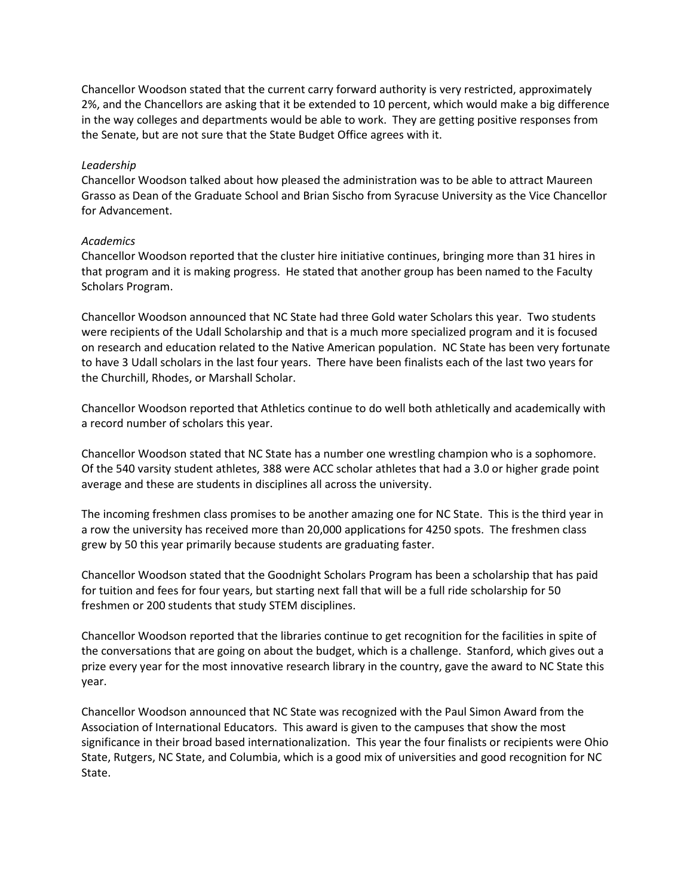Chancellor Woodson stated that the current carry forward authority is very restricted, approximately 2%, and the Chancellors are asking that it be extended to 10 percent, which would make a big difference in the way colleges and departments would be able to work. They are getting positive responses from the Senate, but are not sure that the State Budget Office agrees with it.

#### *Leadership*

Chancellor Woodson talked about how pleased the administration was to be able to attract Maureen Grasso as Dean of the Graduate School and Brian Sischo from Syracuse University as the Vice Chancellor for Advancement.

#### *Academics*

Chancellor Woodson reported that the cluster hire initiative continues, bringing more than 31 hires in that program and it is making progress. He stated that another group has been named to the Faculty Scholars Program.

Chancellor Woodson announced that NC State had three Gold water Scholars this year. Two students were recipients of the Udall Scholarship and that is a much more specialized program and it is focused on research and education related to the Native American population. NC State has been very fortunate to have 3 Udall scholars in the last four years. There have been finalists each of the last two years for the Churchill, Rhodes, or Marshall Scholar.

Chancellor Woodson reported that Athletics continue to do well both athletically and academically with a record number of scholars this year.

Chancellor Woodson stated that NC State has a number one wrestling champion who is a sophomore. Of the 540 varsity student athletes, 388 were ACC scholar athletes that had a 3.0 or higher grade point average and these are students in disciplines all across the university.

The incoming freshmen class promises to be another amazing one for NC State. This is the third year in a row the university has received more than 20,000 applications for 4250 spots. The freshmen class grew by 50 this year primarily because students are graduating faster.

Chancellor Woodson stated that the Goodnight Scholars Program has been a scholarship that has paid for tuition and fees for four years, but starting next fall that will be a full ride scholarship for 50 freshmen or 200 students that study STEM disciplines.

Chancellor Woodson reported that the libraries continue to get recognition for the facilities in spite of the conversations that are going on about the budget, which is a challenge. Stanford, which gives out a prize every year for the most innovative research library in the country, gave the award to NC State this year.

Chancellor Woodson announced that NC State was recognized with the Paul Simon Award from the Association of International Educators. This award is given to the campuses that show the most significance in their broad based internationalization. This year the four finalists or recipients were Ohio State, Rutgers, NC State, and Columbia, which is a good mix of universities and good recognition for NC State.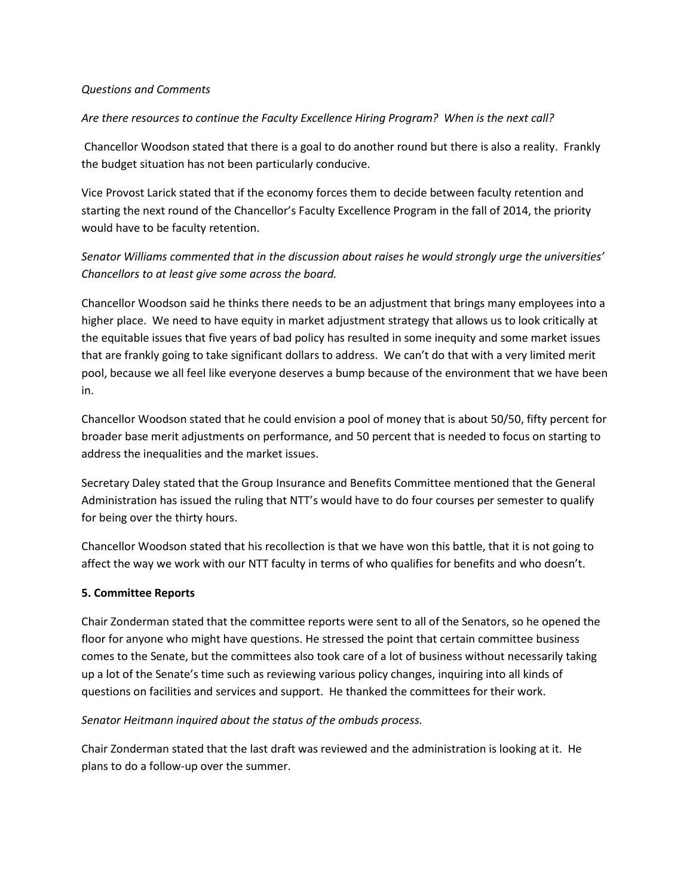#### *Questions and Comments*

#### *Are there resources to continue the Faculty Excellence Hiring Program? When is the next call?*

Chancellor Woodson stated that there is a goal to do another round but there is also a reality. Frankly the budget situation has not been particularly conducive.

Vice Provost Larick stated that if the economy forces them to decide between faculty retention and starting the next round of the Chancellor's Faculty Excellence Program in the fall of 2014, the priority would have to be faculty retention.

# *Senator Williams commented that in the discussion about raises he would strongly urge the universities' Chancellors to at least give some across the board.*

Chancellor Woodson said he thinks there needs to be an adjustment that brings many employees into a higher place. We need to have equity in market adjustment strategy that allows us to look critically at the equitable issues that five years of bad policy has resulted in some inequity and some market issues that are frankly going to take significant dollars to address. We can't do that with a very limited merit pool, because we all feel like everyone deserves a bump because of the environment that we have been in.

Chancellor Woodson stated that he could envision a pool of money that is about 50/50, fifty percent for broader base merit adjustments on performance, and 50 percent that is needed to focus on starting to address the inequalities and the market issues.

Secretary Daley stated that the Group Insurance and Benefits Committee mentioned that the General Administration has issued the ruling that NTT's would have to do four courses per semester to qualify for being over the thirty hours.

Chancellor Woodson stated that his recollection is that we have won this battle, that it is not going to affect the way we work with our NTT faculty in terms of who qualifies for benefits and who doesn't.

#### **5. Committee Reports**

Chair Zonderman stated that the committee reports were sent to all of the Senators, so he opened the floor for anyone who might have questions. He stressed the point that certain committee business comes to the Senate, but the committees also took care of a lot of business without necessarily taking up a lot of the Senate's time such as reviewing various policy changes, inquiring into all kinds of questions on facilities and services and support. He thanked the committees for their work.

## *Senator Heitmann inquired about the status of the ombuds process.*

Chair Zonderman stated that the last draft was reviewed and the administration is looking at it. He plans to do a follow-up over the summer.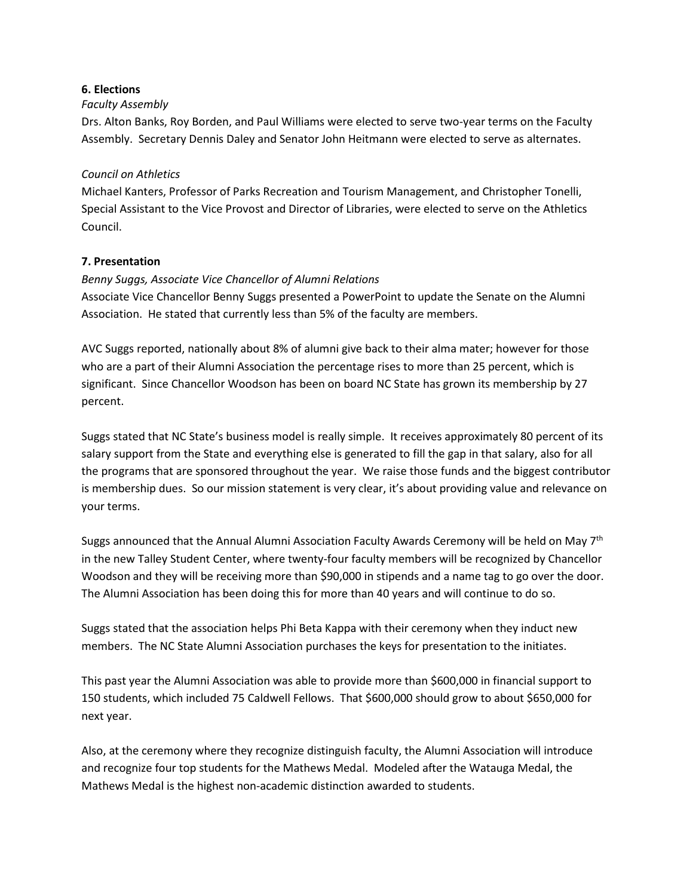## **6. Elections**

## *Faculty Assembly*

Drs. Alton Banks, Roy Borden, and Paul Williams were elected to serve two-year terms on the Faculty Assembly. Secretary Dennis Daley and Senator John Heitmann were elected to serve as alternates.

## *Council on Athletics*

Michael Kanters, Professor of Parks Recreation and Tourism Management, and Christopher Tonelli, Special Assistant to the Vice Provost and Director of Libraries, were elected to serve on the Athletics Council.

# **7. Presentation**

# *Benny Suggs, Associate Vice Chancellor of Alumni Relations*

Associate Vice Chancellor Benny Suggs presented a PowerPoint to update the Senate on the Alumni Association. He stated that currently less than 5% of the faculty are members.

AVC Suggs reported, nationally about 8% of alumni give back to their alma mater; however for those who are a part of their Alumni Association the percentage rises to more than 25 percent, which is significant. Since Chancellor Woodson has been on board NC State has grown its membership by 27 percent.

Suggs stated that NC State's business model is really simple. It receives approximately 80 percent of its salary support from the State and everything else is generated to fill the gap in that salary, also for all the programs that are sponsored throughout the year. We raise those funds and the biggest contributor is membership dues. So our mission statement is very clear, it's about providing value and relevance on your terms.

Suggs announced that the Annual Alumni Association Faculty Awards Ceremony will be held on May  $7<sup>th</sup>$ in the new Talley Student Center, where twenty-four faculty members will be recognized by Chancellor Woodson and they will be receiving more than \$90,000 in stipends and a name tag to go over the door. The Alumni Association has been doing this for more than 40 years and will continue to do so.

Suggs stated that the association helps Phi Beta Kappa with their ceremony when they induct new members. The NC State Alumni Association purchases the keys for presentation to the initiates.

This past year the Alumni Association was able to provide more than \$600,000 in financial support to 150 students, which included 75 Caldwell Fellows. That \$600,000 should grow to about \$650,000 for next year.

Also, at the ceremony where they recognize distinguish faculty, the Alumni Association will introduce and recognize four top students for the Mathews Medal. Modeled after the Watauga Medal, the Mathews Medal is the highest non-academic distinction awarded to students.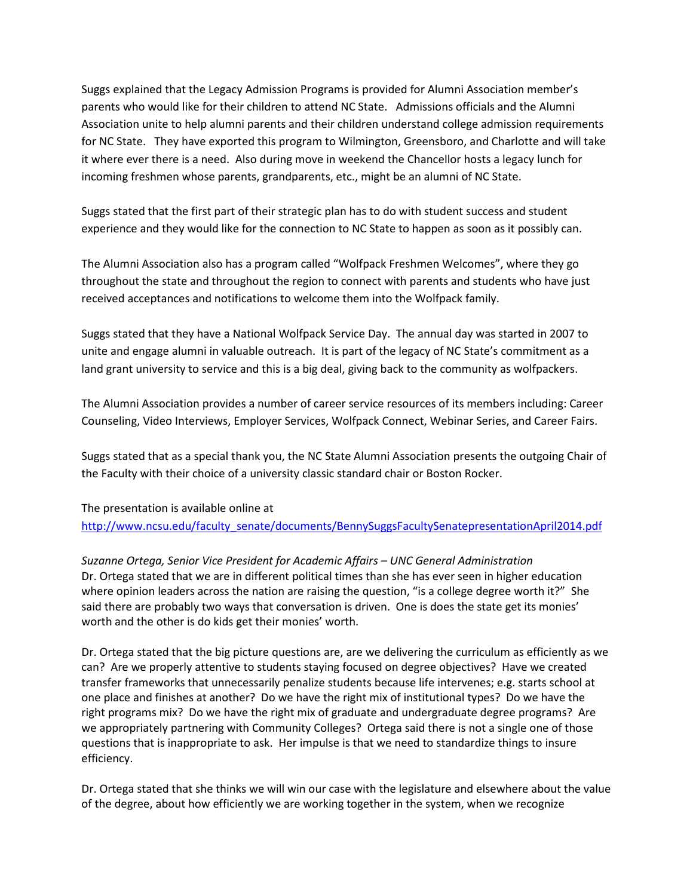Suggs explained that the Legacy Admission Programs is provided for Alumni Association member's parents who would like for their children to attend NC State. Admissions officials and the Alumni Association unite to help alumni parents and their children understand college admission requirements for NC State. They have exported this program to Wilmington, Greensboro, and Charlotte and will take it where ever there is a need. Also during move in weekend the Chancellor hosts a legacy lunch for incoming freshmen whose parents, grandparents, etc., might be an alumni of NC State.

Suggs stated that the first part of their strategic plan has to do with student success and student experience and they would like for the connection to NC State to happen as soon as it possibly can.

The Alumni Association also has a program called "Wolfpack Freshmen Welcomes", where they go throughout the state and throughout the region to connect with parents and students who have just received acceptances and notifications to welcome them into the Wolfpack family.

Suggs stated that they have a National Wolfpack Service Day. The annual day was started in 2007 to unite and engage alumni in valuable outreach. It is part of the legacy of NC State's commitment as a land grant university to service and this is a big deal, giving back to the community as wolfpackers.

The Alumni Association provides a number of career service resources of its members including: Career Counseling, Video Interviews, Employer Services, Wolfpack Connect, Webinar Series, and Career Fairs.

Suggs stated that as a special thank you, the NC State Alumni Association presents the outgoing Chair of the Faculty with their choice of a university classic standard chair or Boston Rocker.

The presentation is available online at [http://www.ncsu.edu/faculty\\_senate/documents/BennySuggsFacultySenatepresentationApril2014.pdf](http://www.ncsu.edu/faculty_senate/documents/BennySuggsFacultySenatepresentationApril2014.pdf)

*Suzanne Ortega, Senior Vice President for Academic Affairs – UNC General Administration* Dr. Ortega stated that we are in different political times than she has ever seen in higher education where opinion leaders across the nation are raising the question, "is a college degree worth it?" She said there are probably two ways that conversation is driven. One is does the state get its monies' worth and the other is do kids get their monies' worth.

Dr. Ortega stated that the big picture questions are, are we delivering the curriculum as efficiently as we can? Are we properly attentive to students staying focused on degree objectives? Have we created transfer frameworks that unnecessarily penalize students because life intervenes; e.g. starts school at one place and finishes at another? Do we have the right mix of institutional types? Do we have the right programs mix? Do we have the right mix of graduate and undergraduate degree programs? Are we appropriately partnering with Community Colleges? Ortega said there is not a single one of those questions that is inappropriate to ask. Her impulse is that we need to standardize things to insure efficiency.

Dr. Ortega stated that she thinks we will win our case with the legislature and elsewhere about the value of the degree, about how efficiently we are working together in the system, when we recognize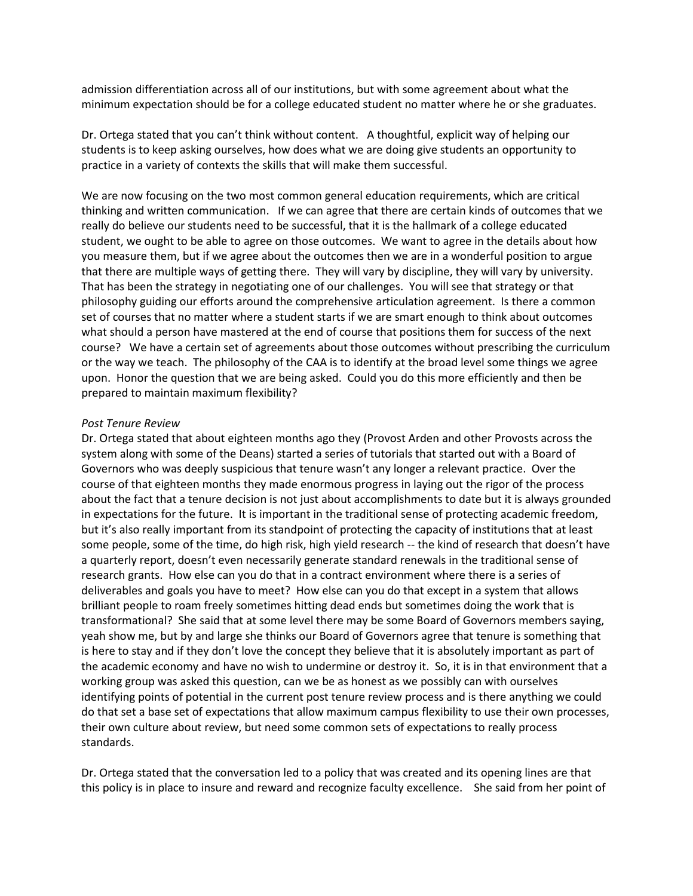admission differentiation across all of our institutions, but with some agreement about what the minimum expectation should be for a college educated student no matter where he or she graduates.

Dr. Ortega stated that you can't think without content. A thoughtful, explicit way of helping our students is to keep asking ourselves, how does what we are doing give students an opportunity to practice in a variety of contexts the skills that will make them successful.

We are now focusing on the two most common general education requirements, which are critical thinking and written communication. If we can agree that there are certain kinds of outcomes that we really do believe our students need to be successful, that it is the hallmark of a college educated student, we ought to be able to agree on those outcomes. We want to agree in the details about how you measure them, but if we agree about the outcomes then we are in a wonderful position to argue that there are multiple ways of getting there. They will vary by discipline, they will vary by university. That has been the strategy in negotiating one of our challenges. You will see that strategy or that philosophy guiding our efforts around the comprehensive articulation agreement. Is there a common set of courses that no matter where a student starts if we are smart enough to think about outcomes what should a person have mastered at the end of course that positions them for success of the next course? We have a certain set of agreements about those outcomes without prescribing the curriculum or the way we teach. The philosophy of the CAA is to identify at the broad level some things we agree upon. Honor the question that we are being asked. Could you do this more efficiently and then be prepared to maintain maximum flexibility?

#### *Post Tenure Review*

Dr. Ortega stated that about eighteen months ago they (Provost Arden and other Provosts across the system along with some of the Deans) started a series of tutorials that started out with a Board of Governors who was deeply suspicious that tenure wasn't any longer a relevant practice. Over the course of that eighteen months they made enormous progress in laying out the rigor of the process about the fact that a tenure decision is not just about accomplishments to date but it is always grounded in expectations for the future. It is important in the traditional sense of protecting academic freedom, but it's also really important from its standpoint of protecting the capacity of institutions that at least some people, some of the time, do high risk, high yield research -- the kind of research that doesn't have a quarterly report, doesn't even necessarily generate standard renewals in the traditional sense of research grants. How else can you do that in a contract environment where there is a series of deliverables and goals you have to meet? How else can you do that except in a system that allows brilliant people to roam freely sometimes hitting dead ends but sometimes doing the work that is transformational? She said that at some level there may be some Board of Governors members saying, yeah show me, but by and large she thinks our Board of Governors agree that tenure is something that is here to stay and if they don't love the concept they believe that it is absolutely important as part of the academic economy and have no wish to undermine or destroy it. So, it is in that environment that a working group was asked this question, can we be as honest as we possibly can with ourselves identifying points of potential in the current post tenure review process and is there anything we could do that set a base set of expectations that allow maximum campus flexibility to use their own processes, their own culture about review, but need some common sets of expectations to really process standards.

Dr. Ortega stated that the conversation led to a policy that was created and its opening lines are that this policy is in place to insure and reward and recognize faculty excellence. She said from her point of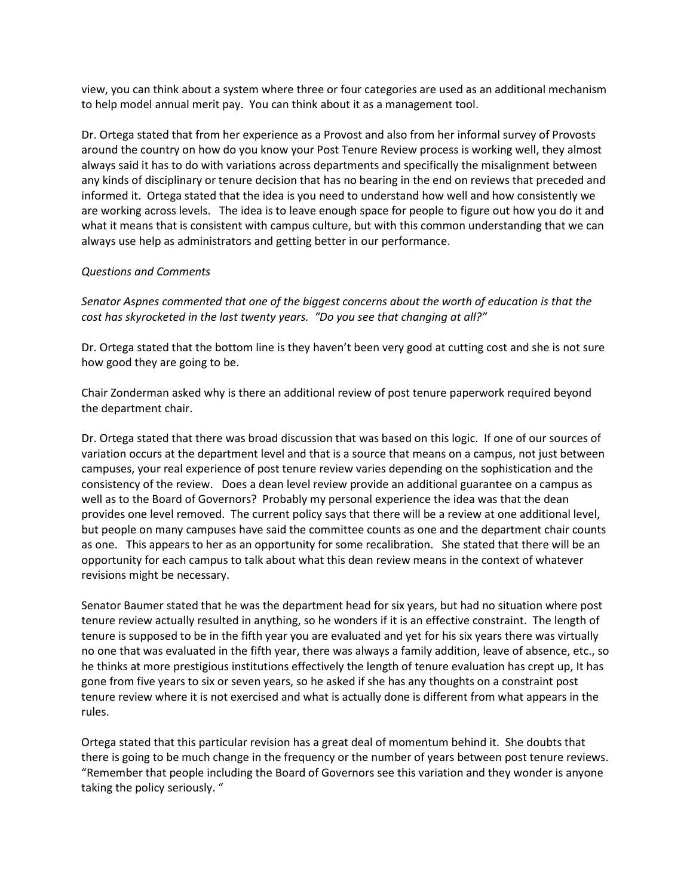view, you can think about a system where three or four categories are used as an additional mechanism to help model annual merit pay. You can think about it as a management tool.

Dr. Ortega stated that from her experience as a Provost and also from her informal survey of Provosts around the country on how do you know your Post Tenure Review process is working well, they almost always said it has to do with variations across departments and specifically the misalignment between any kinds of disciplinary or tenure decision that has no bearing in the end on reviews that preceded and informed it. Ortega stated that the idea is you need to understand how well and how consistently we are working across levels. The idea is to leave enough space for people to figure out how you do it and what it means that is consistent with campus culture, but with this common understanding that we can always use help as administrators and getting better in our performance.

## *Questions and Comments*

*Senator Aspnes commented that one of the biggest concerns about the worth of education is that the cost has skyrocketed in the last twenty years. "Do you see that changing at all?"*

Dr. Ortega stated that the bottom line is they haven't been very good at cutting cost and she is not sure how good they are going to be.

Chair Zonderman asked why is there an additional review of post tenure paperwork required beyond the department chair.

Dr. Ortega stated that there was broad discussion that was based on this logic. If one of our sources of variation occurs at the department level and that is a source that means on a campus, not just between campuses, your real experience of post tenure review varies depending on the sophistication and the consistency of the review. Does a dean level review provide an additional guarantee on a campus as well as to the Board of Governors? Probably my personal experience the idea was that the dean provides one level removed. The current policy says that there will be a review at one additional level, but people on many campuses have said the committee counts as one and the department chair counts as one. This appears to her as an opportunity for some recalibration. She stated that there will be an opportunity for each campus to talk about what this dean review means in the context of whatever revisions might be necessary.

Senator Baumer stated that he was the department head for six years, but had no situation where post tenure review actually resulted in anything, so he wonders if it is an effective constraint. The length of tenure is supposed to be in the fifth year you are evaluated and yet for his six years there was virtually no one that was evaluated in the fifth year, there was always a family addition, leave of absence, etc., so he thinks at more prestigious institutions effectively the length of tenure evaluation has crept up, It has gone from five years to six or seven years, so he asked if she has any thoughts on a constraint post tenure review where it is not exercised and what is actually done is different from what appears in the rules.

Ortega stated that this particular revision has a great deal of momentum behind it. She doubts that there is going to be much change in the frequency or the number of years between post tenure reviews. "Remember that people including the Board of Governors see this variation and they wonder is anyone taking the policy seriously. "